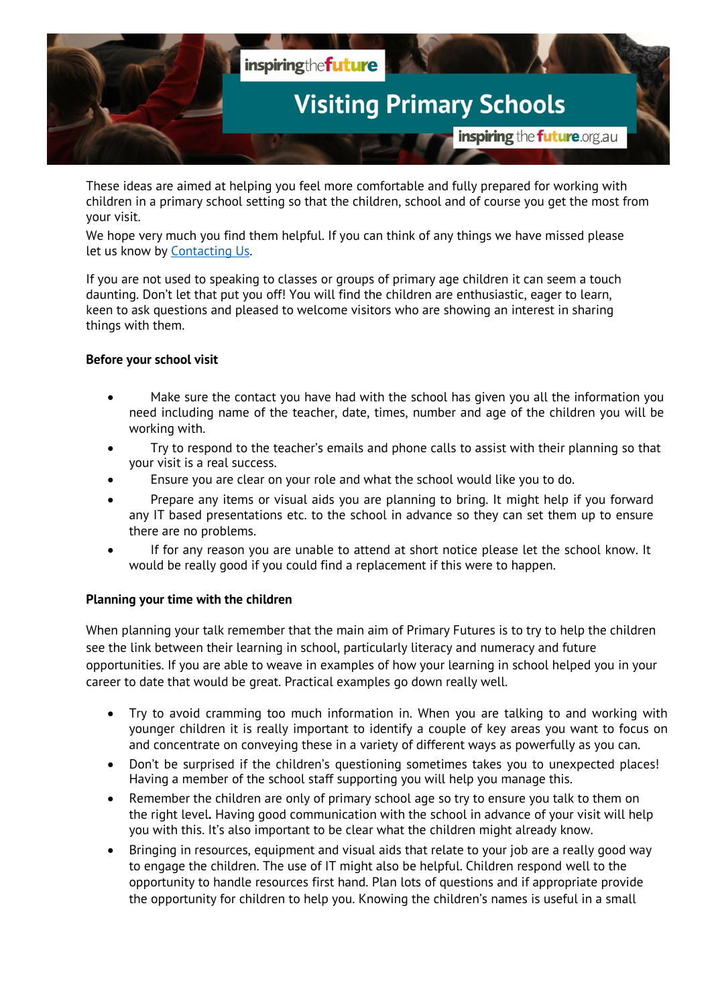

These ideas are aimed at helping you feel more comfortable and fully prepared for working with children in a primary school setting so that the children, school and of course you get the most from your visit.

We hope very much you find them helpful. If you can think of any things we have missed please let us know by [Contacting Us.](http://itf.cloud-dns.inspiredsoftware.com.au/page/contactus)

If you are not used to speaking to classes or groups of primary age children it can seem a touch daunting. Don't let that put you off! You will find the children are enthusiastic, eager to learn, keen to ask questions and pleased to welcome visitors who are showing an interest in sharing things with them.

## **Before your school visit**

- Make sure the contact you have had with the school has given you all the information you need including name of the teacher, date, times, number and age of the children you will be working with.
- Try to respond to the teacher's emails and phone calls to assist with their planning so that your visit is a real success.
- Ensure you are clear on your role and what the school would like you to do.
- Prepare any items or visual aids you are planning to bring. It might help if you forward any IT based presentations etc. to the school in advance so they can set them up to ensure there are no problems.
- If for any reason you are unable to attend at short notice please let the school know. It would be really good if you could find a replacement if this were to happen.

## **Planning your time with the children**

When planning your talk remember that the main aim of Primary Futures is to try to help the children see the link between their learning in school, particularly literacy and numeracy and future opportunities. If you are able to weave in examples of how your learning in school helped you in your career to date that would be great. Practical examples go down really well.

- Try to avoid cramming too much information in. When you are talking to and working with younger children it is really important to identify a couple of key areas you want to focus on and concentrate on conveying these in a variety of different ways as powerfully as you can.
- Don't be surprised if the children's questioning sometimes takes you to unexpected places! Having a member of the school staff supporting you will help you manage this.
- Remember the children are only of primary school age so try to ensure you talk to them on the right level**.** Having good communication with the school in advance of your visit will help you with this. It's also important to be clear what the children might already know.
- Bringing in resources, equipment and visual aids that relate to your job are a really good way to engage the children. The use of IT might also be helpful. Children respond well to the opportunity to handle resources first hand. Plan lots of questions and if appropriate provide the opportunity for children to help you. Knowing the children's names is useful in a small